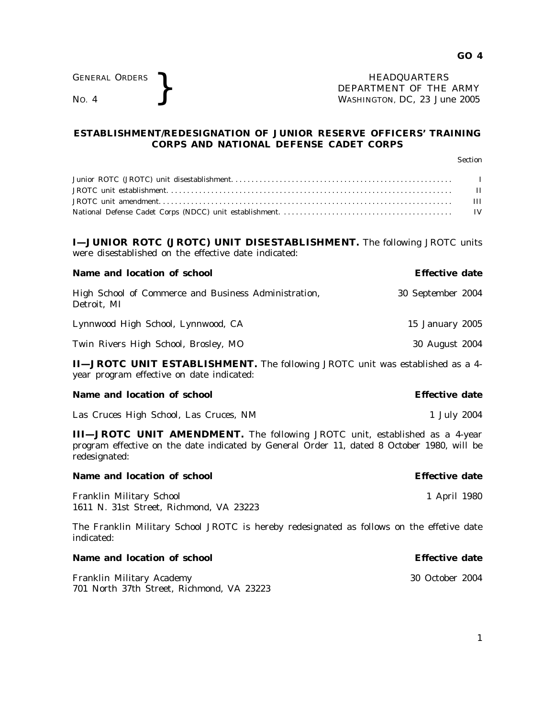GENERAL ORDERS <br>No. 4  $\left.\rule{0pt}{2.5cm}\right\}$  HEADQUARTERS DEPARTMENT OF THE WASHINGTON, DC, 23 Jul DEPARTMENT OF THE ARMY WASHINGTON, DC, *23 June 2005*

# **ESTABLISHMENT/REDESIGNATION OF JUNIOR RESERVE OFFICERS' TRAINING CORPS AND NATIONAL DEFENSE CADET CORPS**

Section Junior ROTC (JROTC) unit disestablishment. . . . . . . . . . . . . . . . . . . . . . . . . . . . . . . . . . . . . . . . . . . . . . . . . . . . . . . I JROTC unit establishment. . . . . . . . . . . . . . . . . . . . . . . . . . . . . . . . . . . . . . . . . . . . . . . . . . . . . . . . . . . . . . . . . . . . . . . II JROTC unit amendment. . . . . . . . . . . . . . . . . . . . . . . . . . . . . . . . . . . . . . . . . . . . . . . . . . . . . . . . . . . . . . . . . . . . . . . . . III National Defense Cadet Corps (NDCC) unit establishment. . . . . . . . . . . . . . . . . . . . . . . . . . . . . . . . . . . . . . . . . . . IV **I—JUNIOR ROTC (JROTC) UNIT DISESTABLISHMENT.** The following JROTC units were disestablished on the effective date indicated: **Name and location of school example 3 and 2 and 2 and 2 and 2 and 2 and 2 and 2 and 2 and 2 and 2 and 2 and 2 and 2 and 2 and 2 and 2 and 2 and 2 and 2 and 2 and 2 and 2 and 2 and 2 and 2 and 2 and 2 and 2 and 2 and 2 and** High School of Commerce and Business Administration, 30 September 2004 Detroit, MI Lynnwood High School, Lynnwood, CA 15 January 2005 Twin Rivers High School, Brosley, MO 30 August 2004 **II—JROTC UNIT ESTABLISHMENT.** The following JROTC unit was established as a 4 year program effective on date indicated: **Name and location of school example 3 and 2 and 2 and 2 and 2 and 2 and 2 and 2 and 2 and 2 and 2 and 2 and 2 and 2 and 2 and 2 and 2 and 2 and 2 and 2 and 2 and 2 and 2 and 2 and 2 and 2 and 2 and 2 and 2 and 2 and 2 and** Las Cruces High School, Las Cruces, NM 1 July 2004 **III—JROTC UNIT AMENDMENT.** The following JROTC unit, established as a 4-year program effective on the date indicated by General Order 11, dated 8 October 1980, will be redesignated: **Name and location of school example 3 and 2 and 2 and 2 and 2 and 2 and 2 and 2 and 2 and 2 and 2 and 2 and 2 and 2 and 2 and 2 and 2 and 2 and 2 and 2 and 2 and 2 and 2 and 2 and 2 and 2 and 2 and 2 and 2 and 2 and 2 and** Franklin Military School 1 April 1980 1611 N. 31st Street, Richmond, VA 23223 The Franklin Military School JROTC is hereby redesignated as follows on the effetive date indicated: **Name and location of school example 3 and 2 and 2 and 2 and 2 and 2 and 2 and 2 and 2 and 2 and 2 and 2 and 2 and 2 and 2 and 2 and 2 and 2 and 2 and 2 and 2 and 2 and 2 and 2 and 2 and 2 and 2 and 2 and 2 and 2 and 2 and** 

Franklin Military Academy 30 October 2004 701 North 37th Street, Richmond, VA 23223